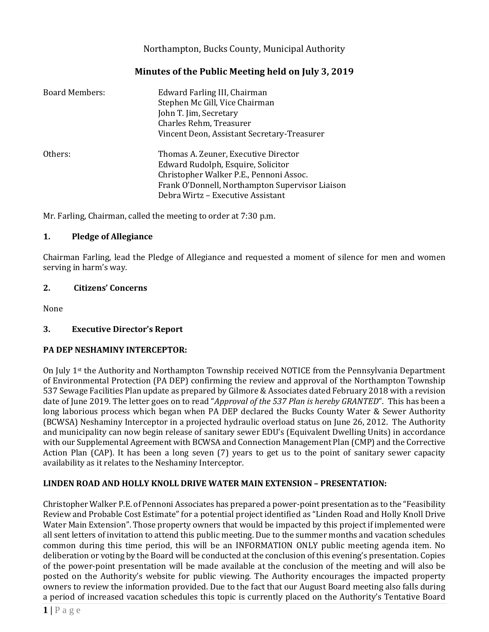## Northampton, Bucks County, Municipal Authority

# **Minutes of the Public Meeting held on July 3, 2019**

| <b>Board Members:</b> | Edward Farling III, Chairman<br>Stephen Mc Gill, Vice Chairman<br>John T. Jim, Secretary<br>Charles Rehm, Treasurer<br>Vincent Deon, Assistant Secretary-Treasurer                                            |
|-----------------------|---------------------------------------------------------------------------------------------------------------------------------------------------------------------------------------------------------------|
| Others:               | Thomas A. Zeuner, Executive Director<br>Edward Rudolph, Esquire, Solicitor<br>Christopher Walker P.E., Pennoni Assoc.<br>Frank O'Donnell, Northampton Supervisor Liaison<br>Debra Wirtz – Executive Assistant |

Mr. Farling, Chairman, called the meeting to order at 7:30 p.m.

#### **1. Pledge of Allegiance**

Chairman Farling, lead the Pledge of Allegiance and requested a moment of silence for men and women serving in harm's way.

#### **2. Citizens' Concerns**

None

#### **3. Executive Director's Report**

#### **PA DEP NESHAMINY INTERCEPTOR:**

On July 1st the Authority and Northampton Township received NOTICE from the Pennsylvania Department of Environmental Protection (PA DEP) confirming the review and approval of the Northampton Township 537 Sewage Facilities Plan update as prepared by Gilmore & Associates dated February 2018 with a revision date of June 2019. The letter goes on to read "*Approval of the 537 Plan is hereby GRANTED*". This has been a long laborious process which began when PA DEP declared the Bucks County Water & Sewer Authority (BCWSA) Neshaminy Interceptor in a projected hydraulic overload status on June 26, 2012. The Authority and municipality can now begin release of sanitary sewer EDU's (Equivalent Dwelling Units) in accordance with our Supplemental Agreement with BCWSA and Connection Management Plan (CMP) and the Corrective Action Plan (CAP). It has been a long seven (7) years to get us to the point of sanitary sewer capacity availability as it relates to the Neshaminy Interceptor.

#### **LINDEN ROAD AND HOLLY KNOLL DRIVE WATER MAIN EXTENSION – PRESENTATION:**

Christopher Walker P.E. of Pennoni Associates has prepared a power-point presentation as to the "Feasibility Review and Probable Cost Estimate" for a potential project identified as "Linden Road and Holly Knoll Drive Water Main Extension". Those property owners that would be impacted by this project if implemented were all sent letters of invitation to attend this public meeting. Due to the summer months and vacation schedules common during this time period, this will be an INFORMATION ONLY public meeting agenda item. No deliberation or voting by the Board will be conducted at the conclusion of this evening's presentation. Copies of the power-point presentation will be made available at the conclusion of the meeting and will also be posted on the Authority's website for public viewing. The Authority encourages the impacted property owners to review the information provided. Due to the fact that our August Board meeting also falls during a period of increased vacation schedules this topic is currently placed on the Authority's Tentative Board